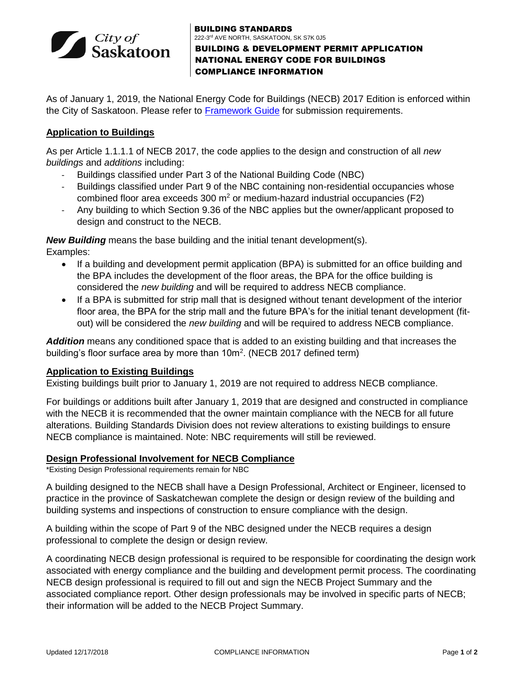

BUILDING STANDARDS 222-3<sup>rd</sup> AVE NORTH, SASKATOON, SK S7K 0J5 BUILDING & DEVELOPMENT PERMIT APPLICATION NATIONAL ENERGY CODE FOR BUILDINGS COMPLIANCE INFORMATION

As of January 1, 2019, the National Energy Code for Buildings (NECB) 2017 Edition is enforced within the City of Saskatoon. Please refer to [Framework Guide](https://www.saskatoon.ca/sites/default/files/documents/community-services/building-standards/energy_framework_guide.pdf) for submission requirements.

### **Application to Buildings**

As per Article 1.1.1.1 of NECB 2017, the code applies to the design and construction of all *new buildings* and *additions* including:

- Buildings classified under Part 3 of the National Building Code (NBC)
- Buildings classified under Part 9 of the NBC containing non-residential occupancies whose combined floor area exceeds 300  $m^2$  or medium-hazard industrial occupancies (F2)
- Any building to which Section 9.36 of the NBC applies but the owner/applicant proposed to design and construct to the NECB.

*New Building* means the base building and the initial tenant development(s). Examples:

- If a building and development permit application (BPA) is submitted for an office building and the BPA includes the development of the floor areas, the BPA for the office building is considered the *new building* and will be required to address NECB compliance.
- If a BPA is submitted for strip mall that is designed without tenant development of the interior floor area, the BPA for the strip mall and the future BPA's for the initial tenant development (fitout) will be considered the *new building* and will be required to address NECB compliance.

*Addition* means any conditioned space that is added to an existing building and that increases the building's floor surface area by more than  $10m^2$ . (NECB 2017 defined term)

#### **Application to Existing Buildings**

Existing buildings built prior to January 1, 2019 are not required to address NECB compliance.

For buildings or additions built after January 1, 2019 that are designed and constructed in compliance with the NECB it is recommended that the owner maintain compliance with the NECB for all future alterations. Building Standards Division does not review alterations to existing buildings to ensure NECB compliance is maintained. Note: NBC requirements will still be reviewed.

#### **Design Professional Involvement for NECB Compliance**

\*Existing Design Professional requirements remain for NBC

A building designed to the NECB shall have a Design Professional, Architect or Engineer, licensed to practice in the province of Saskatchewan complete the design or design review of the building and building systems and inspections of construction to ensure compliance with the design.

A building within the scope of Part 9 of the NBC designed under the NECB requires a design professional to complete the design or design review.

A coordinating NECB design professional is required to be responsible for coordinating the design work associated with energy compliance and the building and development permit process. The coordinating NECB design professional is required to fill out and sign the NECB Project Summary and the associated compliance report. Other design professionals may be involved in specific parts of NECB; their information will be added to the NECB Project Summary.